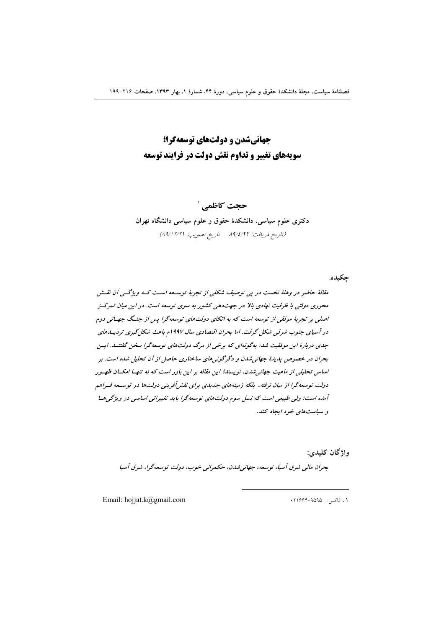جهانیشدن و دولتهای توسعهگرا؛ سویههای تغییر و تداوم نقش دولت در فرایند توسعه

حجت کاظمے ` دکتری علوم سیاسی، دانشکدهٔ حقوق و علوم سیاسی دانشگاه تهران (تاريخ دريافت: ٨٩/٤/٢٢ تاريخ تصويب: ٨٩/١٢/٢١)

مقالهٔ حاضر در وهلهٔ نخست در پی توصیف شکلی از تجربهٔ توسعه است کـه ویژگـی آن نقـش محوری دولتی با ظرفیت نهادی بالا در جهتدهی کشور به سوی توسعه است. در این میان تمرکسز اصلی بر تجربهٔ موققی از توسعه است که به اتکای دولتهای توسعهگرا پس از جنگ جهـانی دوم در آسیای جنوب شرقبی شکل گرفت. اما بحران اقتصادی سال ۱۹۹۷م باعث شکل گیری تردیسدهای جدی دربارهٔ این موفقیت شد؛ به گونهای که برخی از مرگ دولتهای توسعه گرا سخن گفتنــد. ایــن بحران در خصوص بدیدهٔ جهانی شدن و دگرگونی های ساختاری حاصل از آن تحلیل شده است. بر اساس تحلیلی از ماهیت جهانه شدن، نویسندهٔ این مقاله بر این باور است که نه تنهها امکسان ظهیور دولت توسعهگرا از میان نرفته، بلکه زمینههای جدیدی برای نقش آفرینی دولتها در توسـعه فـراهم آمده است؛ ولی طبیعی است که نسل سوم دولتهای توسعهگرا باید تغییراتی اساسی در ویژگی هسا و سپاست های خود ایجاد کند.

واژگان کليدي:

چکیده:

بحران مالي شرق آسيا، توسعه، جهاني شدن، حكمراني خوب، دولت توسعه گرا، شرق آسيا

Email: hojjat.k@gmail.com

۰۱ فاکس: ۰۲۱۶۶۴۰۹۵۹۵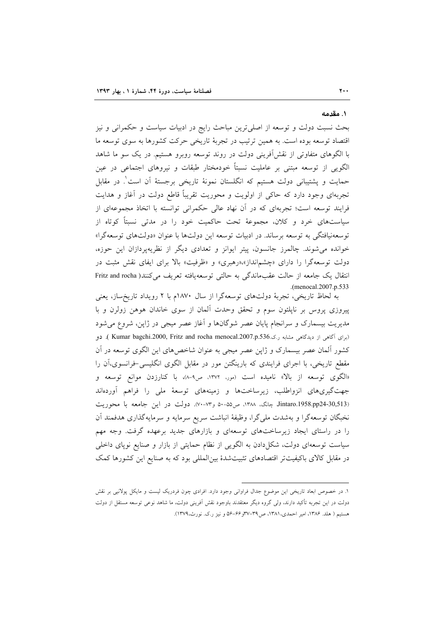١. مقدمه

بحث نسبت دولت و توسعه از اصلی ترین مباحث رایج در ادبیات سیاست و حکمرانی و نیز اقتصاد توسعه بوده است. به همین ترتیب در تجربهٔ تاریخی حرکت کشورها به سوی توسعه ما با الگوهای متفاوتی از نقشآفرینی دولت در روند توسعه روبرو هستیم. در یک سو ما شاهد الگویی از توسعه مبتنی بر عاملیت نسبتاً خودمختار طبقات و نیروهای اجتماعی در عین حمایت و پشتیبانی دولت هستیم که انگلستان نمونهٔ تاریخی برجستهٔ آن است ٔ. در مقابل تجربهای وجود دارد که حاکی از اولویت و محوریت تقریباً قاطع دولت در آغاز و هدایت فرایند توسعه است؛ تجربهای که در آن نهاد عالی حکمرانی توانسته با اتخاذ مجموعهای از سیاستهای خرد و کلان، مجموعهٔ تحت حاکمیت خود را در مدتی نسبتاً کوتاه از توسعهنیافتگی به توسعه برساند. در ادبیات توسعه این دولتها با عنوان «دولتهای توسعهگرا» خوانده می شوند. چالمرز جانسون، پیتر ایوانز و تعدادی دیگر از نظریهپردازان این حوزه، دولت توسعهگرا را دارای «چشمانداز»،«رهبری» و «ظرفیت» بالا برای ایفای نقش مثبت در انتقال یک جامعه از حالت عقبماندگی به حالتی توسعه یافته تعریف می کنند( Fritz and rocha .(menocal.2007.p.533

به لحاظ تاریخی، تجربهٔ دولتهای توسعهگرا از سال ۱۸۷۰م با ۲ رویداد تاریخساز، یعنی پیروزی پروس بر ناپلئون سوم و تحقق وحدت آلمان از سوی خاندان هوهن زولرن و با مدیریت بیسمارک و سرانجام پایان عصر شوگانها و آغاز عصر میجی در ژاپن، شروع می شود (برای آگاهی از دیدگاهی مشابه ر.ک.Kumar bagchi.2000, Fritz and rocha menocal.2007.p.536). دو کشور آلمان عصر بیسمارک و ژاپن عصر میجی به عنوان شاخصهای این الگوی توسعه در آن مقطع تاریخی، با اجرای فرایندی که بارینگتن مور در مقابل الگوی انگلیسی-فرانسوی،آن را «الگوی توسعه از بالا» نامیده است (مور، ۱۳۷۲، ص۹-۸)، با کنارزدن موانع توسعه و جهت گیریهای انزواطلب، زیرساختها و زمینههای توسعهٔ ملی را فراهم آوردهاند Jintaro.1958.pp24-30,513) چانک، ١٣٨٨، ص٥٥-٥٠ و٧٣-٧٠. دولت در اين جامعه با محوريت نخبگان توسعهگرا و بهشدت ملیگرا، وظیفهٔ انباشت سریع سرمایه و سرمایهگذاری هدفمند آن را در راستای ایجاد زیرساختهای توسعهای و بازارهای جدید برعهده گرفت. وجه مهم سیاست توسعهای دولت، شکل(دادن به الگویی از نظام حمایتی از بازار و صنایع نوپای داخلی در مقابل کالای باکیفیتتر اقتصادهای تثبیتشدهٔ بین|لمللی بود که به صنایع این کشورها کمک

۱. در خصوص ابعاد تاریخی این موضوع جدال فراوانی وجود دارد. افرادی چون فردریک لیست و مایکل پولانیی بر نقش دولت در این تجربه تأکید دارند، ولی گروه دیگر معتقدند باوجود نقش اَفرینی دولت، ما شاهد نوعی توسعه مستقل از دولت هستیم ( هلد. ۱۳۸۶، امیر احمدی، ۱۳۸۱، ص۳۹–۳۷و ۶۶–۵۶ و نیز ر.ک. نورث، ۱۳۷۹).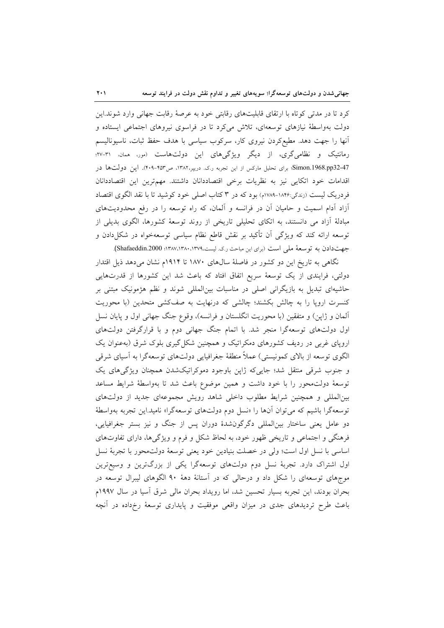کرد تا در مدتی کوتاه با ارتقای قابلیتهای رقابتی خود به عرصهٔ رقابت جهانی وارد شوند.این دولت بهواسطهٔ نیازهای توسعهای، تلاش میکرد تا در فراسوی نیروهای اجتماعی ایستاده و أنها را جهت دهد. مطیعکردن نیروی کار، سرکوب سیاسی با هدف حفظ ثبات، ناسیونالیسم رمانتیک و نظامیگری، از دیگر ویژگیهای این دولتهاست (مور، ممان، ۳۱-۲۷؛ Simon.1968.pp32-47؛ برای تحلیل مارکس از این تجربه ر.ک. دریپر،۱۳۸۲، ص۴۵۳-۴۰۹). این دولتها در اقدامات خود اتكايي نيز به نظريات برخي اقتصاددانان داشتند. مهمترين اين اقتصاددانان فردریک لیست (زندگی:۱۸۴۶-۱۷۸۹م) بود که در ۳ کتاب اصلی خود کوشید تا با نقد الگوی اقتصاد آزاد آدام اسمیت و حامیان آن در فرانسه و آلمان، که راه توسعه را در رفع محدودیتهای مبادلهٔ اَزاد می دانستند، به اتکای تحلیلی تاریخی از روند توسعهٔ کشورها، الگوی بدیلی از توسعه ارائه کند که ویژگی آن تأکید بر نقش قاطع نظام سیاسی توسعهخواه در شکلدادن و جهت دادن به توسعهٔ ملی است (برای این مباحث ر.ک. لیست،۱۳۷۹، ۱۳۸۷،۱۳۸۰، Shafaeddin.2000).

نگاهی به تاریخ این دو کشور در فاصلهٔ سالهای ۱۸۷۰ تا ۱۹۱۴م نشان میدهد ذیل اقتدار دولتی، فرایندی از یک توسعهٔ سریع اتفاق افتاد که باعث شد این کشورها از قدرتهایی حاشیهای تبدیل به بازیگرانی اصلی در مناسبات بینالمللی شوند و نظم هژمونیک مبتنی بر کنسرت اروپا را به چالش بکشند؛ چالشی که درنهایت به صفکشی متحدین (با محوریت آلمان و ژاپن) و متفقین (با محوریت انگلستان و فرانسه)، وقوع جنگ جهانی اول و پایان نسل اول دولتهای توسعهگرا منجر شد. با اتمام جنگ جهانی دوم و با قرارگرفتن دولتهای اروپای غربی در ردیف کشورهای دمکراتیک و همچنین شکل گیری بلوک شرق (به عنوان یک الگوی توسعه از بالای کمونیستی) عملاً منطقهٔ جغرافیایی دولتهای توسعهگرا به آسیای شرقی و جنوب شرقی منتقل شد؛ جاییکه ژاپن باوجود دموکراتیکشدن همچنان ویژگیهای یک توسعهٔ دولت محور را با خود داشت و همین موضوع باعث شد تا بهواسطهٔ شرایط مساعد بینالمللی و همچنین شرایط مطلوب داخلی شاهد رویش مجموعهای جدید از دولتهای توسعه گرا باشیم که می توان آنها را «نسل دوم دولتهای توسعهگرا» نامید.این تجربه بهواسطهٔ دو عامل یعنی ساختار بینالمللی دگرگونشدهٔ دوران پس از جنگ و نیز بستر جغرافیایی، فرهنگی و اجتماعی و تاریخی ظهور خود، به لحاظ شکل و فرم و ویژگیها، دارای تفاوتهای اساسی با نسل اول است؛ ولی در خصلت بنیادین خود یعنی توسعهٔ دولتمحور با تجربهٔ نسل اول اشتراک دارد. تجربهٔ نسل دوم دولتهای توسعهگرا یکی از بزرگترین و وسیعترین موجهای توسعهای را شکل داد و درحالی که در آستانهٔ دههٔ ۹۰ الگوهای لیبرال توسعه در بحران بودند، این تجربه بسیار تحسین شد، اما رویداد بحران مالی شرق آسیا در سال ۱۹۹۷م باعث طرح تردیدهای جدی در میزان واقعی موفقیت و پایداری توسعهٔ رخداده در آنچه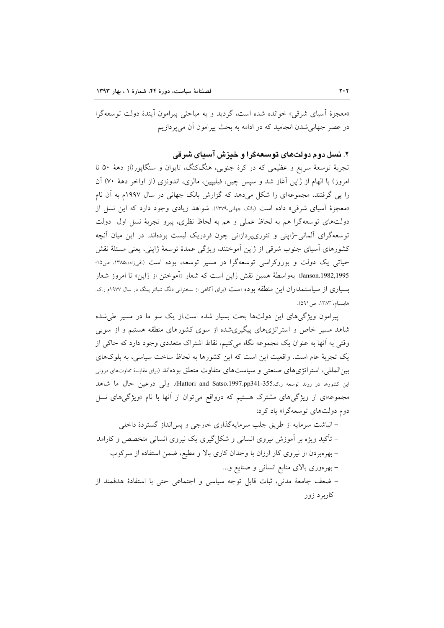«معجزهٔ آسیای شرقی» خوانده شده است، گردید و به مباحثی پیرامون آیندهٔ دولت توسعهگرا در عصر جهاني شدن انجاميد كه در ادامه به بحث پيرامون آن مي پردازيم

۲. نسل دوم دولتهای توسعهگرا و خیزش آسیای شرقی

تجربهٔ توسعهٔ سریع و عظیمی که در کرهٔ جنوبی، هنگکنگ، تایوان و سنگاپور(از دههٔ ۵۰ تا امروز) با الهام از ژاپن آغاز شد و سپس چین، فیلیپین، مالزی، اندونزی (از اواخر دههٔ ۷۰) آن را پی گرفتند، مجموعهای را شکل میدهد که گزارش بانک جهانی در سال ۱۹۹۷م به آن نام «معجزهٔ آسیای شرقی» داده است (بانک جهانی،۱۳۷۹). شواهد زیادی وجود دارد که این نسل از دولتهای توسعهگرا هم به لحاظ عملی و هم به لحاظ نظری، پیرو تجربهٔ نسل اول دولت توسعهگرای آلمانی-ژاپنی و تئوری،یردازانی چون فردریک لیست بودهاند. در این میان آنچه کشورهای اَسپای جنوب شرقی از ژاپن اَموختند، ویژگی عمدهٔ توسعهٔ ژاپنی، یعنی مسئلهٔ نقش حیاتی یک دولت و بوروکراسی توسعهگرا در مسیر توسعه، بوده است (نقیزاده،۱۳۸۵، ص۱۵؛ Janson.1982,1995). بهواسطة همين نقش ژاين است كه شعار «آموختن از ژاين» تا امروز شعار بسیاری از سیاستمداران این منطقه بوده است (برای آگاهی از سخنرانی دنگ شیائو پینگ در سال ۱۹۷۷م ر.ک. هابسبام، ١٣٨٣، ص ٥٩١).

پیرامون ویژگیهای این دولتها بحث بسیار شده است.از یک سو ما در مسیر طی شده شاهد مسیر خاص و استراتژیهای پیگیریشده از سوی کشورهای منطقه هستیم و از سویی وقتی به آنها به عنوان یک مجموعه نگاه میکنیم، نقاط اشتراک متعددی وجود دارد که حاکی از یک تجربهٔ عام است. واقعیت این است که این کشورها به لحاظ ساخت سیاسی، به بلوکهای بینالمللی، استراتژیهای صنعتی و سیاستهای متفاوت متعلق بودهاند (برای مقایسهٔ تفاوتهای درونی اين كشورها در روند توسعه ر.ك.355-341-351,Hattori and Satso.1997.pp341-351). ولي درعين حال ما شاهد مجموعهای از ویژگیهای مشترک هستیم که درواقع میتوان از آنها با نام «ویژگیهای نسل دوم دولتهای توسعهگرا» یاد کرد:

– انباشت سرمایه از طریق جلب سرمایهگذاری خارجی و پس انداز گستردهٔ داخلی – تأکید ویژه بر آموزش نیروی انسانی و شکل گیری یک نیروی انسانی متخصص و کارامد – بهر مبردن از نیروی کار ارزان با وجدان کاری بالا و مطیع، ضمن استفاده از سرکوب – بهرهوری بالای منابع انسانی و صنایع و… - ضعف جامعة مدنى، ثبات قابل توجه سياسى و اجتماعى حتى با استفادة هدفمند از کاربر د زور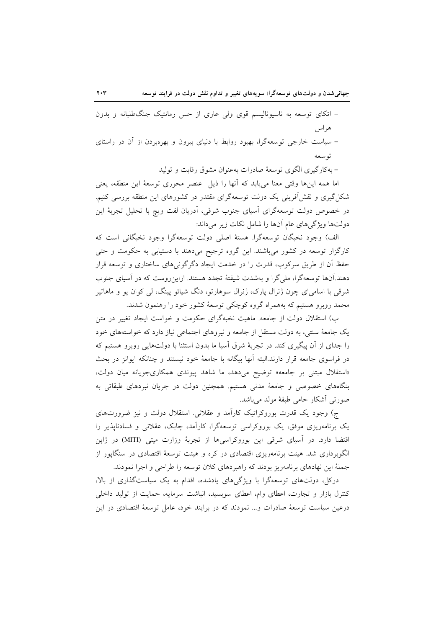– اتکای توسعه به ناسیونالیسم قوی ولی عاری از حس رمانتیک جنگ طلبانه و بدون هر اس – سیاست خارجی توسعهگرا، بهبود روابط با دنیای بیرون و بهرهبردن از آن در راستای توسعه

– بهکارگیری الگوی توسعهٔ صادرات بهعنوان مشوق رقابت و تولید

اما همه اینها وقتی معنا میbیابد که آنها را ذیل عنصر محوری توسعهٔ این منطقه، یعنی شکا گیری و نقشآفرینی یک دولت توسعهگرای مقتدر در کشورهای این منطقه بررسی کنیم. در خصوص دولت توسعهگرای آسیای جنوب شرقی، آدریان لفت ویچ با تحلیل تجربهٔ این دولتها ويژگيهاي عام آنها را شامل نكات زير مي داند:

الف) وجود نخبگان توسعهگرا. هستهٔ اصلی دولت توسعهگرا وجود نخبگانی است که کارگزار توسعه در کشور میباشند. این گروه ترجیح میدهند با دستیابی به حکومت و حتبی حفظ آن از طریق سرکوب، قدرت را در خدمت ایجاد دگرگونیهای ساختاری و توسعه قرار دهند.آنها توسعهگرا، ملی گرا و بهشدت شیفتهٔ تجدد هستند. ازاین روست که در آسیای جنوب شرقی با اسامیای چون ژنرال پارک، ژنرال سوهارتو، دنگ شیائو پینگ، لی کوان یو و ماهاتیر محمد روبرو هستیم که بههمراه گروه کوچکی توسعهٔ کشور خود را رهنمون شدند.

ب) استقلال دولت از جامعه. ماهیت نخبهگرای حکومت و خواست ایجاد تغییر در متن یک جامعهٔ سنتی، به دولت مستقل از جامعه و نیروهای اجتماعی نیاز دارد که خواستههای خود را جدای از آن پیگیری کند. در تجربهٔ شرق اسیا ما بدون استثنا با دولتهایی روبرو هستیم که در فراسوی جامعه قرار دارند.البته آنها بیگانه با جامعهٔ خود نیستند و چنانکه ایوانز در بحث «استقلال مبتنی بر جامعه» توضیح میدهد، ما شاهد پیوندی همکاریجویانه میان دولت، بنگاههای خصوصی و جامعهٔ مدنی هستیم. همچنین دولت در جریان نبردهای طبقاتی به صورتي أشكار حامي طبقهٔ مولد مي باشد.

ج) وجود یک قدرت بوروکراتیک کاراًمد و عقلانی. استقلال دولت و نیز ضرورتهای یک برنامهریزی موفق، یک بوروکراسی توسعهگرا، کارآمد، چابک، عقلانی و فسادنایذیر را اقتضا دارد. در اسیای شرقی این بوروکراسیها از تجربهٔ وزارت میتی (MITI) در ژاپن الگوبرداری شد. هیئت برنامهریزی اقتصادی در کره و هیئت توسعهٔ اقتصادی در سنگاپور از جملهٔ این نهادهای برنامهریز بودند که راهبردهای کلان توسعه را طراحی و اجرا نمودند.

درکل، دولتهای توسعهگرا با ویژگیهای یادشده، اقدام به یک سیاستگذاری از بالا، کنترل بازار و تجارت، اعطای وام، اعطای سوبسید، انباشت سرمایه، حمایت از تولید داخلی درعین سیاست توسعهٔ صادرات و… نمودند که در برایند خود، عامل توسعهٔ اقتصادی در این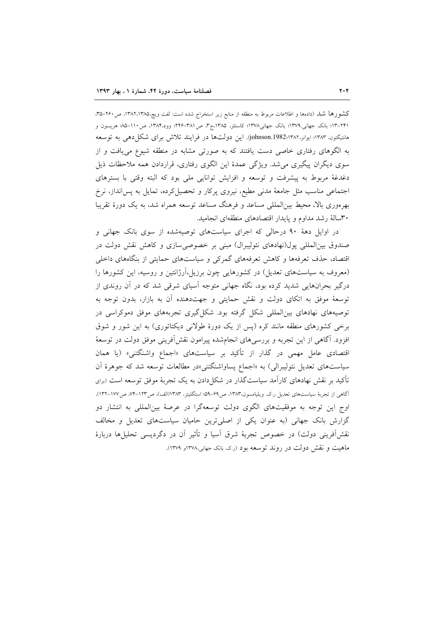كشورها شد (دادهها و اطلاعات مربوط به منطقه از منابع زير استخراج شده است: لفت ويچ،١٣٨٢،١٣٨٥، ص٢۶٠–٣۵، ٢٢١–١٢؛ بانک جهانی.١٣٧٩؛ بانک جهانی١٣٧٨؛ کاستلز، ١٣٨٥ج٣، ص٣٨١–٢۴۶؛ وود،١٣٨۴، ص١١٠–٨٥ هريسون و هانتيكتون، ١٣٨٣؛ ايوانز، johnson.1982:۱۳۸۲). اين دولتها در فرايند تلاش براى شكل دهي به توسعه به الگوهای رفتاری خاصی دست یافتند که به صورتی مشابه در منطقه شیوع می یافت و از سوی دیگران پیگیری می شد. ویژگی عمدهٔ این الگوی رفتاری، قراردادن همه ملاحظات ذیل دغدغهٔ مربوط به پیشرفت و توسعه و افزایش توانایی ملی بود که البته وقتی با بسترهای اجتماعی مناسب مثل جامعهٔ مدنی مطیع، نیروی پرکار و تحصیل کرده، تمایل به پس انداز، نرخ بهرهوری بالا، محیط بین|لمللی مساعد و فرهنگ مساعد توسعه همراه شد، به یک دورهٔ تقریبا ۳۰سالهٔ رشد مداوم و پایدار اقتصادهای منطقهای انجامید.

در اوایل دههٔ ۹۰ درحالی که اجرای سیاستهای توصیهشده از سوی بانک جهانی و صندوق بین المللی پول(نهادهای نئولیبرال) مبنی بر خصوصی سازی و کاهش نقش دولت در اقتصاد، حذف تعرفهها و کاهش تعرفههای گمرکی و سیاستهای حمایتی از بنگاههای داخلی (معروف به سیاستهای تعدیل) در کشورهایی چون برزیل،آرژانتین و روسیه، این کشورها را درگیر بحرانهایی شدید کرده بود، نگاه جهانی متوجه آسیای شرقی شد که در آن روندی از توسعهٔ موفق به اتکای دولت و نقش حمایتی و جهتدهنده آن به بازار، بدون توجه به توصیههای نهادهای بینالمللی شکل گرفته بود. شکل گیری تجربههای موفق دموکراسی در برخی کشورهای منطقه مانند کره (پس از یک دورهٔ طولانی دیکتاتوری) به این شور و شوق افزود. آگاهی از این تجربه و بررسی های انجامشده پیرامون نقش اَفرینی موفق دولت در توسعهٔ اقتصادی عامل مهمی در گذار از تأکید بر سیاستهای «اجماع واشنگتنی» (یا همان سیاستهای تعدیل نئولیبرال<sub>ی</sub>) به «اجماع پساواشنگتنی»در مطالعات توسعه شد که جوهرهٔ آن تأکید بر نقش نهادهای کارآمد سیاستگذار در شکل۱ددن به یک تجربهٔ موفق توسعه است (برای اگاهی از تجربهٔ سیاستهای تعدیل ر.ک. ویلیامسون،۱۳۸۳، ص۶۹–۵۹؛ استگلیتز، ۱۳۸۳(الف)، ص۱۲۳–۷۴، ص۱۷۷–۱۳۲). اوج این توجه به موفقیتهای الگوی دولت توسعهگرا در عرصهٔ بینالمللی به انتشار دو گزارش بانک جهانی (به عنوان یکی از اصلیترین حامیان سیاستهای تعدیل و مخالف نقش[فرینی دولت) در خصوص تجربهٔ شرق آسیا و تأثیر آن در دگردیسی تحلیلها دربارهٔ ماهيت و نقش دولت در روند توسعه بود (رک بانک جهانی،۱۳۷۸و ۱۳۷۹).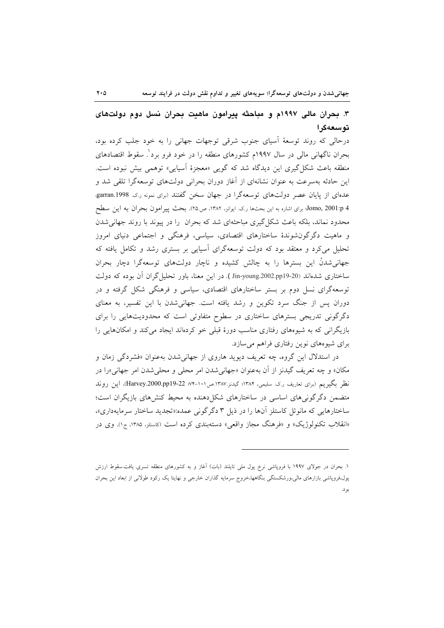# ۳. بحران مالی ۱۹۹۷م و مباحثه پیرامون ماهیت بحران نسل دوم دولتهای توسعهگرا

درحالی که روند توسعهٔ اسیای جنوب شرقی توجهات جهانی را به خود جلب کرده بود، بحران ناگهانی مالی در سال ۱۹۹۷م کشورهای منطقه را در خود فرو برد ٔ. سقوط اقتصادهای منطقه باعث شکل گیری این دیدگاه شد که گویی «معجزهٔ آسیایی» توهمی بیش نبوده است. این حادثه بهسرعت به عنوان نشانهای از آغاز دوران بحرانی دولتهای توسعهگرا تلقی شد و عدهای از پایان عصر دولتهای توسعهگرا در جهان سخن گفتند (برای نمونه ر.ک. garran.1998 Jomo, 2001:p 4؛ براى اشاره به اين بحثها ر.ك. ايوانز، ١٣٨٢، ص٢٥). بحث پيرامون بحران به اين سطح محدود نماند، بلکه باعث شکل گیری مباحثهای شد که بحران را در پیوند با روند جهانی شدن و ماهیت دگرگونشوندهٔ ساختارهای اقتصادی، سیاسی، فرهنگی و اجتماعی دنیای امروز تحلیل میکرد و معتقد بود که دولت توسعهگرای آسیایی بر بستری رشد و تکامل یافته که جهانی شدنْ این بسترها را به چالش کشیده و ناچار دولتهای توسعهگرا دچار بحران ساختاری شدهاند (Jin-young.2002.pp19-20 ). در این معنا، باور تحلیل گران آن بوده که دولت توسعهگرای نسل دوم بر بستر ساختارهای اقتصادی، سیاسی و فرهنگی شکل گرفته و در دوران پس از جنگ سرد تکوین و رشد یافته است. جهانی شدن با این تفسیر، به معنای دگرگونی تدریجی بسترهای ساختاری در سطوح متفاوتی است که محدودیتهایی را برای بازیگرانی که به شیوههای رفتاری مناسب دورهٔ قبلی خو کردهاند ایجاد میکند و امکانهایی را برای شیوههای نوین رفتاری فراهم میسازد.

در استدلال این گروه، چه تعریف دیوید هاروی از جهانیشدن بهعنوان «فشردگی زمان و مکان» و چه تعریف گیدنز از آن بهعنوان «جهانیشدن امر محلی و محلی شدن امر جهانی»را در نظر بگیریم (برای تعاریف ر.ک. سلیمی، ۱۳۸۴؛ گیدنز.۱۳۸۷.ص۱۰۱-۷۴؛ Harvey.2000.pp19-22)، این روند متضمن دگر گونی های اساسی در ساختارهای شکل دهنده به محیط کنش های بازیگران است؛ ساختارهایی که مانوئل کاستلز آنها را در ذیل ۳ دگرگونی عمده:«تجدید ساختار سرمایهداری»، «انقلاب تکنولوژیک» و «فرهنگ مجاز واقعی» دستهبندی کرده است (کاستلز، ۱۳۸۵، ج۱). وی در

۱. بحران در جولای ۱۹۹۷ با فروپاشی نرخ پول ملی تایلند (بات) آغاز و به کشورهای منطقه تسری یافت.سقوط ارزش پول،فروپاشی بازارهای مالی،ورشکستگی بنگاهها،خروج سرمایه گذاران خارجی و نهایتا یک رکود طولانی از ابعاد این بحران بو د.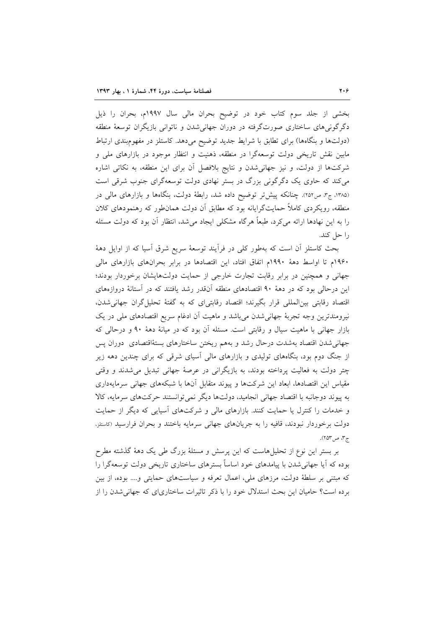بخشی از جلد سوم کتاب خود در توضیح بحران مالی سال ۱۹۹۷م، بحران را ذیل دگرگونی۵ای ساختاری صورتگرفته در دوران جهانیشدن و ناتوانی بازیگران توسعهٔ منطقه (دولتها و بنگاهها) برای تطابق با شرایط جدید توضیح میدهد. کاستلز در مفهومبندی ارتباط مابین نقش تاریخی دولت توسعهگرا در منطقه، ذهنیت و انتظار موجود در بازارهای ملی و شرکتها از دولت، و نیز جهانی شدن و نتایج بلافصل آن برای این منطقه، به نکاتی اشاره می کند که حاوی یک دگرگونی بزرگ در بستر نهادی دولت توسعهگرای جنوب شرقی است (۱۳۸۵، ج۳، ص۲۵۲). چنانکه پیش تر توضیح داده شد، رابطهٔ دولت، بنگاهها و بازارهای مالی در منطقه، رویکردی کاملاً حمایتگرایانه بود که مطابق آن دولت همان $d$ ور که رهنمودهای کلان را به این نهادها ارائه میکرد، طبعاً هرگاه مشکلی ایجاد میشد، انتظار آن بود که دولت مسئله را حل کند.

بحث كاستلز أن است كه بهطور كلي در فرأيند توسعهٔ سريع شرق أسيا كه از اوايل دههٔ ۱۹۶۰م تا اواسط دههٔ ۱۹۹۰م اتفاق افتاد، این اقتصادها در برابر بحرانهای بازارهای مالی جهانی و همچنین در برابر رقابت تجارت خارجی از حمایت دولتهایشان برخوردار بودند؛ این درحالی بود که در دههٔ ۹۰ اقتصادهای منطقه آنقدر رشد یافتند که در آستانهٔ دروازههای اقتصاد رقابتی بین المللی قرار بگیرند؛ اقتصاد رقابتی ای که به گفتهٔ تحلیل گران جهانی شدن، نیرومندترین وجه تجربهٔ جهانی شدن می باشد و ماهیت اَن ادغام سریع اقتصادهای ملی در یک بازار جهانی با ماهیت سیال و رقابتی است. مسئله أن بود که در میانهٔ دههٔ ۹۰ و درحالی که جهانی شدن اقتصاد بهشدت درحال رشد و بههم ریختن ساختارهای بستهٔاقتصادی دوران پس از جنگ دوم بود، بنگاههای تولیدی و بازارهای مالی آسیای شرقی که برای چندین دهه زیر چتر دولت به فعالیت پرداخته بودند، به بازیگرانی در عرصهٔ جهانی تبدیل میشدند و وقتی مقیاس این اقتصادها، ابعاد این شرکتها و پیوند متقابل آنها با شبکههای جهانی سرمایهداری به پیوند دوجانبه با اقتصاد جهانی انجامید، دولتها دیگر نمی توانستند حرکتهای سرمایه، کالا و خدمات را کنترل یا حمایت کنند. بازارهای مالی و شرکتهای آسیایی که دیگر از حمایت دولت برخوردار نبودند، قافیه را به جریانهای جهانی سرمایه باختند و بحران فرارسید (کاستلز، ج ۳، ص ۲۵۳).

بر بستر این نوع از تحلیلهاست که این پرسش و مسئلهٔ بزرگ طی یک دههٔ گذشته مطرح بوده که آیا جهانی شدن با پیامدهای خود اساساً بسترهای ساختاری تاریخی دولت توسعهگرا را که مبتنی بر سلطهٔ دولت، مرزهای ملی، اعمال تعرفه و سیاستهای حمایتی و…. بوده، از بین برده است؟ حامیان این بحث استدلال خود را با ذکر تاثیرات ساختاریای که جهانی شدن را از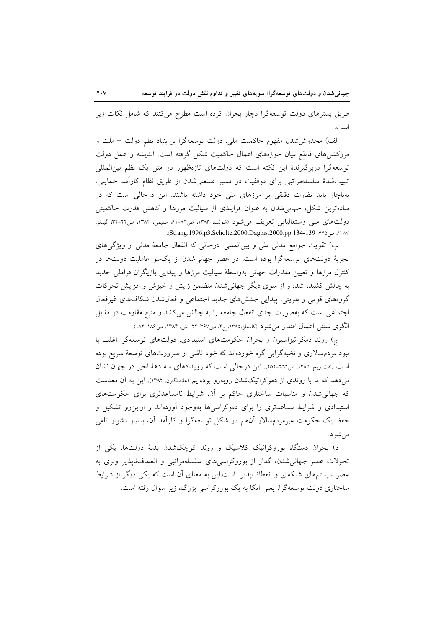طریق بسترهای دولت توسعهگرا دچار بحران کرده است مطرح میکنند که شامل نکات زیر است.

الف) مخدوششدن مفهوم حاكميت ملي. دولت توسعهگرا بر بنياد نظم دولت – ملت و مرزکشیهای قاطع میان حوزههای اعمال حاکمیت شکل گرفته است. اندیشه و عمل دولت توسعهگرا دربرگیرندهٔ این نکته است که دولتهای تازهظهور در متن یک نظم بین|لمللی تثبیتشدهٔ سلسلهمراتبی برای موفقیت در مسیر صنعتیشدن از طریق نظام کارآمد حمایتی، بهناچار باید نظارت دقیقی بر مرزهای ملی خود داشته باشند. این درحالی است که در سادهترین شکل، جهانی شدن به عنوان فرایندی از سیالیت مرزها و کاهش قدرت حاکمیتی دولتهای ملی وستفالیایی تعریف میشود (شولت، ۱۳۸۳، ص۸۲-۶۱؛ سلیمی، ۱۳۸۴، ص۴۲-۴۲؛ گیدنز، ١٣٨٧، ص ٤٩٥؛ Strang.1996.p3.Scholte.2000.Daglas.2000.pp.134-139.

ب) تقویت جوامع مدنی ملی و بینالمللی. درحالی که انفعال جامعهٔ مدنی از ویژگیهای تجربهٔ دولتهای توسعهگرا بوده است، در عصر جهانی شدن از یکسو عاملیت دولتها در کنترل مرزها و تعیین مقدرات جهانی بهواسطهٔ سیالیت مرزها و پیدایی بازیگران فراملی جدید به چالش کشیده شده و از سوی دیگر جهانی شدن متضمن زایش و خیزش و افزایش تحرکات گروههای قومی و هویتی، پیدایی جنبشهای جدید اجتماعی و فعال شدن شکافهای غیرفعال اجتماعی است که بهصورت جدی انفعال جامعه را به چالش میکشد و منبع مقاومت در مقابل الگوی سنتی اعمال اقتدار می شود (کاستلز،۱۳۸۵، ج۲، ص۳۶۷-۲۲: نش، ۱۳۸۴، ص۱۸۶-۱۸۲).

ج) روند دمکراتیزاسیون و بحران حکومتهای استبدادی. دولتهای توسعهگرا اغلب با نبود مردمسالاری و نخبهگرایی گره خوردهاند که خود ناشی از ضرورتهای توسعهٔ سریع بوده است (لفت ویچ، ۱۳۸۵، ص۲۵۵-۲۵۲). این درحالی است که رویدادهای سه دههٔ اخیر در جهان نشان میدهد که ما با روندی از دموکراتیکشدن روبهرو بودهایم (هانتینگتون، ۱۳۸۲). این به اَن معناست که جهانی شدن و مناسبات ساختاری حاکم بر آن، شرایط نامساعدتری برای حکومتهای استبدادی و شرایط مساعدتری را برای دموکراسیها بهوجود آوردهاند و ازاین رو تشکیل و حفظ یک حکومت غیرمردمسالار آنهم در شکل توسعهگرا و کارآمد آن، بسیار دشوار تلقی مىشود.

د) بحران دستگاه بوروکراتیک کلاسیک و روند کوچکشدن بدنهٔ دولتها. یکی از تحولات عصر جهانی شدن، گذار از بوروکراسی های سلسلهمراتبی و انعطافنایذیر وبری به عصر سیستمهای شبکهای و انعطافپذیر است.این به معنای آن است که یکی دیگر از شرایط ساختاری دولت توسعهگرا، یعنی اتکا به یک بوروکراسی بزرگ، زیر سوال رفته است.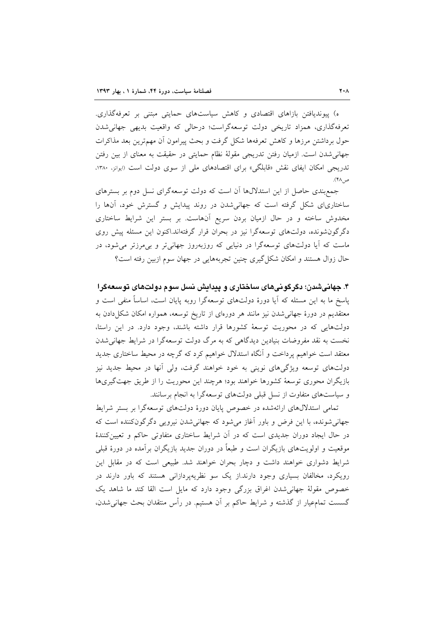ه) پیوندیافتن بازاهای اقتصادی و کاهش سیاستهای حمایتی مبتنی بر تعرفهگذاری. تعرفهگذاری، همزاد تاریخی دولت توسعهگراست؛ درحالی که واقعیت بدیهی جهانی شدن حول برداشتن مرزها و کاهش تعرفهها شکل گرفت و بحث پیرامون أن مهمترین بعد مذاکرات جهانی شدن است. ازمیان رفتن تدریجی مقولهٔ نظام حمایتی در حقیقت به معنای از بین رفتن تدریجی امکان ایفای نقش «قابلگی» برای اقتصادهای ملی از سوی دولت است (ایوانز، ۱۳۸۰، ص ۴۸).

جمع بندی حاصل از این استدلالها آن است که دولت توسعهگرای نسل دوم بر بسترهای ساختاریای شکل گرفته است که جهانی شدن در روند پیدایش و گسترش خود، آنها را مخدوش ساخته و در حال ازمیان بردن سریع آنهاست. بر بستر این شرایط ساختاری دگرگون شونده، دولتهای توسعهگرا نیز در بحران قرار گرفتهاند.اکنون این مسئله پیش روی ماست که آیا دولتهای توسعهگرا در دنیایی که روزبهروز جهانی تر و بی مرزتر می شود، در حال زوال هستند و امکان شکل گیری چنین تجربههایی در جهان سوم ازبین رفته است؟

۴. جهانیشدن؛ دگرگونیهای ساختاری و پیدایش نسل سوم دولتهای توسعهگرا پاسخ ما به این مسئله که آیا دورهٔ دولتهای توسعهگرا روبه پایان است، اساساً منفی است و معتقدیم در دورهٔ جهانیشدن نیز مانند هر دورهای از تاریخ توسعه، همواره امکان شکل دادن به دولتهایی که در محوریت توسعهٔ کشورها قرار داشته باشند، وجود دارد. در این راستا، نخست به نقد مفروضات بنیادین دیدگاهی که به مرگ دولت توسعهگرا در شرایط جهانی شدن معتقد است خواهیم پرداخت و آنگاه استدلال خواهیم کرد که گرچه در محیط ساختاری جدید دولتهای توسعه ویژگیهای نوینی به خود خواهند گرفت، ولی آنها در محیط جدید نیز بازیگران محوری توسعهٔ کشورها خواهند بود؛ هرچند این محوریت را از طریق جهتگیریها و سیاستهای متفاوت از نسل قبلی دولتهای توسعهگرا به انجام برسانند.

تمامی استدلالهای ارائهشده در خصوص پایان دورهٔ دولتهای توسعهگرا بر بستر شرایط جهانی شونده، با این فرض و باور آغاز می شود که جهانی شدن نیرویی دگرگونکننده است که در حال ایجاد دوران جدیدی است که در اَن شرایط ساختاری متفاوتی حاکم و تعیین کنندهٔ موقعیت و اولویتهای بازیگران است و طبعاً در دوران جدید بازیگران برآمده در دورهٔ قبلی شرایط دشواری خواهند داشت و دچار بحران خواهند شد. طبیعی است که در مقابل این رویکرد، مخالفان بسیاری وجود دارند.از یک سو نظریهپردازانی هستند که باور دارند در خصوص مقولهٔ جهانی شدن اغراق بزرگی وجود دارد که مایل است القا کند ما شاهد یک گسست تمامءیار از گذشته و شرایط حاکم بر آن هستیم. در رأس منتقدان بحث جهانی شدن،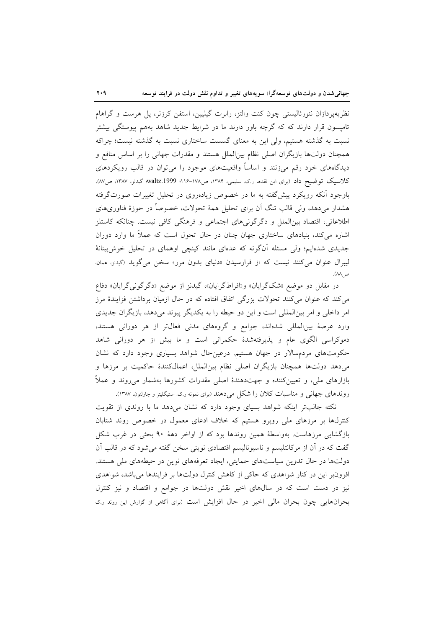نظریهپردازان نئورئالیستی چون کنت والتز، رابرت گیلپین، استفن کرزنر، پل هرست و گراهام تامیسون قرار دارند که که گرچه باور دارند ما در شرایط جدید شاهد بههم پیوستگی بیشتر نسبت به گذشته هستیم، ولی این به معنای گسست ساختاری نسبت به گذشته نیست؛ چراکه همچنان دولتها بازیگران اصلی نظام بینالملل هستند و مقدرات جهانی را بر اساس منافع و دیدگاههای خود رقم میزنند و اساساً واقعیتهای موجود را میٍتوان در قالب رویکردهای کلاسیک توضیح داد (برای این نقدها ر.ک. سلیمی، ۱۳۸۴، ص۱۷۸-۱۱۶؛ waltz.1999؛ گیدنز، ۱۳۸۷، ص۸۷). باوجود آنکه رویکرد پیش گفته به ما در خصوص زیادهروی در تحلیل تغییرات صورتگرفته هشدار می دهد، ولی قالب تنگ آن برای تحلیل همهٔ تحولات، خصوصاً در حوزهٔ فناوریهای اطلاعاتی، اقتصاد بینالملل و دگرگونیهای اجتماعی و فرهنگی کافی نیست. چنانکه کاستلز اشاره می کند، بنیادهای ساختاری جهان چنان در حال تحول است که عملاً ما وارد دوران جدیدی شدهایم؛ ولی مسئله آنگونه که عدهای مانند کینچی اوهمای در تحلیل خوش بینانهٔ لیبرال عنوان میکنند نیست که از فرارسیدن «دنیای بدون مرز» سخن میگوید (<sub>گ</sub>یدن<sub>ز</sub>، ممان. ص ۸۸).

در مقابل دو موضع «شکگرایان» و«افراطگرایان»، گیدنز از موضع «دگرگونی گرایان» دفاع می کند که عنوان می کنند تحولات بزرگی اتفاق افتاده که در حال ازمیان برداشتن فزایندهٔ مرز امر داخلی و امر بینالمللی است و این دو حیطه را به یکدیگر پیوند میدهد، بازیگران جدیدی وارد عرصهٔ بینالمللی شدهاند، جوامع و گروههای مدنی فعال تر از هر دورانی هستند، دموکراسی الگوی عام و پذیرفتهشدهٔ حکمرانی است و ما بیش از هر دورانی شاهد حکومتهای مردمسالار در جهان هستیم. درعین حال شواهد بسیاری وجود دارد که نشان میدهد دولتها همچنان بازیگران اصلی نظام بینالملل، اعمالکنندهٔ حاکمیت بر مرزها و بازارهای ملی، و تعیینکننده و جهتدهندهٔ اصلی مقدرات کشورها بهشمار میروند و عملاً روندهای جهانی و مناسبات کلان را شکل می دهند (برای نمونه ر.ک. استیگلیتز و چارلتون، ۱۳۸۷).

نکته جالبتر اینکه شواهد بسیای وجود دارد که نشان میدهد ما با روندی از تقویت کنترلها بر مرزهای ملی روبرو هستیم که خلاف ادعای معمول در خصوص روند شتابان بازگشایی مرزهاست. بهواسطهٔ همین روندها بود که از اواخر دههٔ ۹۰ بحثی در غرب شکل گفت که در آن از مرکانتلیسم و ناسیونالیسم اقتصادی نوینی سخن گفته می شود که در قالب آن دولتها در حال تدوین سیاستهای حمایتی، ایجاد تعرفههای نوین در حیطههای ملی هستند. افزونبر این در کنار شواهدی که حاکی از کاهش کنترل دولتها بر فرایندها میباشد، شواهدی نیز در دست است که در سالهای اخیر نقش دولتها در جوامع و اقتصاد و نیز کنترل بحرانهایی چون بحران مالی اخیر در حال افزایش است (برای آگامی از گزارش این روند رک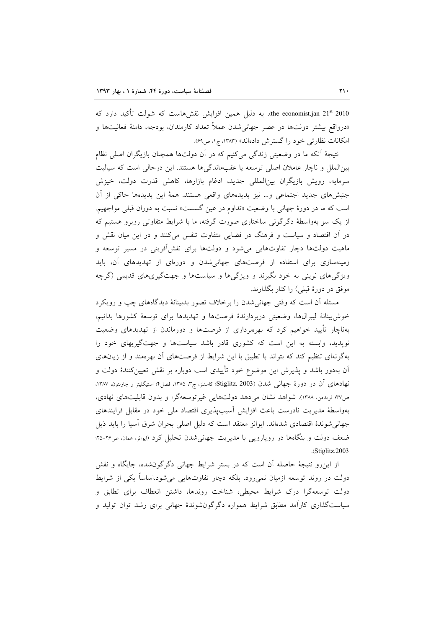the economist.jan 21st 2010). به دلیل همین افزایش نقشهاست که شولت تأکید دارد که «درواقع بیشتر دولتها در عصر جهانی شدن عملاً تعداد کارمندان، بودجه، دامنهٔ فعالیتها و امکانات نظارتی خود را گسترش دادهاند» (۱۳۸۳، ج۱، ص۶۹).

نتيجهٔ آنکه ما در وضعيتي زندگي ميکنيم که در آن دولتها همچنان بازيگران اصلي نظام بینالملل و ناچار عاملان اصلی توسعه یا عقبماندگیها هستند. این درحالی است که سیالیت سرمایه، رویش بازیگران بینالمللی جدید، ادغام بازارها، کاهش قدرت دولت، خیزش جنبشهای جدید اجتماعی و... نیز پدیدههای واقعی هستند. همهٔ این پدیدهها حاکی از آن است كه ما در دورهٔ جهاني با وضعيت «تداوم در عين گسست» نسبت به دوران قبلي مواجهيم. از یک سو بهواسطهٔ دگرگونی ساختاری صورت گرفته، ما با شرایط متفاوتی روبرو هستیم که در آن اقتصاد و سیاست و فرهنگ در فضایی متفاوت تنفس می کنند و در این میان نقش و ماهیت دولتها دچار تفاوتهایی میشود و دولتها برای نقشآفرینی در مسیر توسعه و زمینهسازی برای استفاده از فرصتهای جهانیشدن و دورهای از تهدیدهای آن، باید ویژگیهای نوینی به خود بگیرند و ویژگیها و سیاستها و جهتگیریهای قدیمی (گرچه موفق در دورهٔ قبلی) را کنار بگذارند.

مسئله أن است كه وقتى جهانى شدن را برخلاف تصور بدبينانهٔ ديدگاههاى چپ و رويكرد خوش بينانة ليبرالها، وضعيتي دربردارندة فرصتها و تهديدها براي توسعة كشورها بدانيم، بهناچار تأیید خواهیم کرد که بهرهبرداری از فرصتها و دورماندن از تهدیدهای وضعیت نوپدید، وابسته به این است که کشوری قادر باشد سیاستها و جهتگیریهای خود را بهگونهای تنظیم کند که بتواند با تطبیق با این شرایط از فرصتهای آن بهرهمند و از زیانهای أن بهدور باشد و پذیرش این موضوع خود تأییدی است دوباره بر نقش تعیینکنندهٔ دولت و نهادهای آن در دورهٔ جهانی شدن (Stiglitz. 2003؛ کاستلز، ج۳، ۱۳۸۵، فصل۴؛ استیگلیتز و چارلتون، ۱۳۸۷، ص٣٧: فريدمن، ١٣٨٨). شواهد نشان مى دهد دولتهايى غيرتوسعه گرا و بدون قابليتهاى نهادى، بهواسطهٔ مدیریت نادرست باعث افزایش آسیبپذیری اقتصاد ملی خود در مقابل فرایندهای جهانی شوندهٔ اقتصادی شدهاند. ایوانز معتقد است که دلیل اصلی بحران شرق آسیا را باید ذیل ضعف دولت و بنگاهها در رویارویی با مدیریت جهانی شدن تحلیل کرد (ایوانز، ممان، ص۲۶-۲۵؛ .(Stiglitz.2003).

از این رو نتیجهٔ حاصله آن است که در بستر شرایط جهانی دگرگون شده، جایگاه و نقش دولت در روند توسعه ازمیان نمی رود، بلکه دچار تفاوتهایی می شود.اساساً یکی از شرایط دولت توسعهگرا درک شرایط محیطی، شناخت روندها، داشتن انعطاف برای تطابق و سیاستگذاری کارآمد مطابق شرایط همواره دگرگونشوندهٔ جهانی برای رشد توان تولید و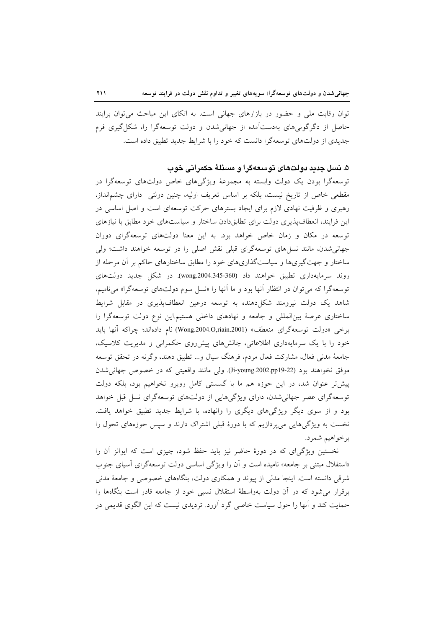توان رقابت ملی و حضور در بازارهای جهانی است. به اتکای این مباحث می توان برایند حاصل از دگرگونی های بهدستآمده از جهانی شدن و دولت توسعهگرا را، شکل گیری فرم جدیدی از دولتهای توسعهگرا دانست که خود را با شرایط جدید تطبیق داده است.

## ۵. نسل جدید دولتهای توسعهگرا و مسئلهٔ حکمرانی خوب

توسعهگرا بودن یک دولت وابسته به مجموعهٔ ویژگیهای خاص دولتهای توسعهگرا در مقطعی خاص از تاریخ نیست، بلکه بر اساس تعریف اولیه، چنین دولتی دارای چشمانداز، رهبری و ظرفیت نهادی لازم برای ایجاد بسترهای حرکت توسعهای است و اصل اساسی در این فرایند، انعطافپذیری دولت برای تطابقدادن ساختار و سیاستهای خود مطابق با نیازهای توسعه در مکان و زمان خاص خواهد بود. به این معنا دولتهای توسعهگرای دوران جهانی شدن، مانند نسلهای توسعهگرای قبلی نقش اصلی را در توسعه خواهند داشت؛ ولی ساختار و جهتگیریها و سیاستگذاریهای خود را مطابق ساختارهای حاکم بر آن مرحله از روند سرمايهداري تطبيق خواهند داد (360-345.300.wong). در شكل جديد دولتهاي توسعه گرا که می توان در انتظار آنها بود و ما آنها را «نسل سوم دولتهای توسعهگرا» می نامیم، شاهد یک دولت نیرومند شکل(دهنده به توسعه درعین انعطافپذیری در مقابل شرایط ساختاری عرصهٔ بین المللی و جامعه و نهادهای داخلی هستیم.این نوع دولت توسعهگرا را برخي «دولت توسعهگراي منعطف» (Wong.2004.O,riain.2001) نام دادهاند؛ چراكه آنها بايد خود را با یک سرمایهداری اطلاعاتی، چالشهای پیشروی حکمرانی و مدیریت کلاسیک، جامعهٔ مدنی فعال، مشارکت فعال مردم، فرهنگ سیال و... تطبیق دهند، وگرنه در تحقق توسعه موفق نخواهند بود (Ji-young.2002.pp19-22). ولي مانند واقعيتي كه در خصوص جهاني شدن پیشتر عنوان شد، در این حوزه هم ما با گسستی کامل روبرو نخواهیم بود، بلکه دولت توسعه گرای عصر جهانی شدن، دارای ویژگیهایی از دولتهای توسعهگرای نسل قبل خواهد بود و از سوی دیگر ویژگیهای دیگری را وانهاده، با شرایط جدید تطبیق خواهد یافت. نخست به ویژگی هایی می پردازیم که با دورهٔ قبلی اشتراک دارند و سپس حوزههای تحول را برخواهيم شمرد.

نخستین ویژگیای که در دورهٔ حاضر نیز باید حفظ شود، چیزی است که ایوانز آن را «استقلال مبتنی بر جامعه» نامیده است و آن را ویژگی اساسی دولت توسعهگرای آسیای جنوب شرقی دانسته است. اینجا مدلی از پیوند و همکاری دولت، بنگاههای خصوصی و جامعهٔ مدنی برقرار می شود که در آن دولت بهواسطهٔ استقلال نسبی خود از جامعه قادر است بنگاهها را حمایت کند و آنها را حول سیاست خاصی گرد آورد. تردیدی نیست که این الگوی قدیمی در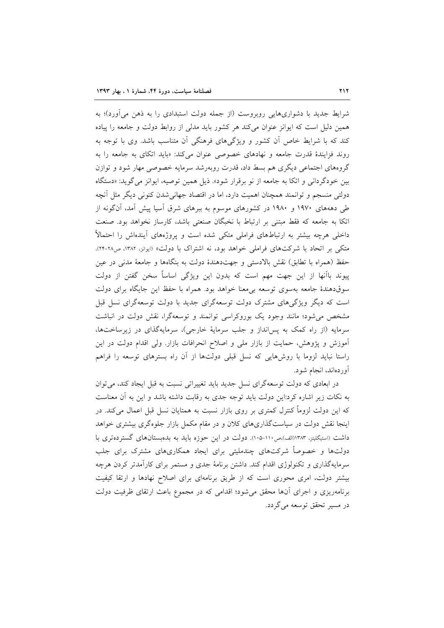شرایط جدید با دشواریهایی روبروست (از جمله دولت استبدادی را به ذهن میآورد)؛ به همین دلیل است که ایوانز عنوان می کند هر کشور باید مدلی از روابط دولت و جامعه را پیاده کند که با شرایط خاص آن کشور و ویژگیهای فرهنگی آن متناسب باشد. وی با توجه به روند فزایندهٔ قدرت جامعه و نهادهای خصوصی عنوان می کند: «باید اتکای به جامعه را به گروههای اجتماعی دیگری هم بسط داد، قدرت روبهرشد سرمایه خصوصی مهار شود و توازن بین خودگردانی و اتکا به جامعه از نو برقرار شود». ذیل همین توصیه، ایوانز می گوید: «دستگاه دولتی منسجم و توانمند همچنان اهمیت دارد، اما در اقتصاد جهانی شدن کنونی دیگر مثل آنچه طی دهههای ۱۹۷۰ و ۱۹۸۰ در کشورهای موسوم به ببرهای شرق آسیا پیش آمد، آنگونه از اتکا به جامعه که فقط مبتنی بر ارتباط با نخبگان صنعتی باشد، کارساز نخواهد بود. صنعت داخلی هرچه بیشتر به ارتباطهای فراملی متکی شده است و پروژههای آیندهاش را احتمالاً متکی بر اتحاد با شرکتهای فراملی خواهد بود، نه اشتراک با دولت» (ایوانز، ۱۳۸۲، ص۲۸-۲۴). حفظ (همراه با تطابق) نقش بالادستی و جهتدهندهٔ دولت به بنگاهها و جامعهٔ مدنی در عین پیوند باآنها از این جهت مهم است که بدون این ویژگی اساساً سخن گفتن از دولت سوقدهندهٔ جامعه بهسوی توسعه بی معنا خواهد بود. همراه با حفظ این جایگاه برای دولت است که دیگر ویژگیهای مشترک دولت توسعهگرای جدید با دولت توسعهگرای نسل قبل مشخص می شود؛ مانند وجود یک بوروکراسی توانمند و توسعهگرا، نقش دولت در انباشت سرمایه (از راه کمک به پس انداز و جلب سرمایهٔ خارجی)، سرمایهگذای در زیرساختها، آموزش و پژوهش، حمایت از بازار ملی و اصلاح انحرافات بازار. ولی اقدام دولت در این راستا نباید لزوما با روش۵ایی که نسل قبلی دولتها از آن راه بسترهای توسعه را فراهم آوردهاند، انجام شود.

در ابعادی که دولت توسعهگرای نسل جدید باید تغییراتی نسبت به قبل ایجاد کند، می توان به نکات زیر اشاره کرد:این دولت باید توجه جدی به رقابت داشته باشد و این به آن معناست که این دولت لزوماً کنترل کمتری بر روی بازار نسبت به همتایان نسل قبل اعمال میکند. در اینجا نقش دولت در سیاستگذاریهای کلان و در مقام مکمل بازار جلوهگری بیشتری خواهد داشت (استیگلیتز، ۱۳۸۳(الف)،ص۱۱۰-۱۰۵). دولت در این حوزه باید به بدهبستانهای گستردهتری با دولتها و خصوصاً شرکتهای چندملیتی برای ایجاد همکاریهای مشترک برای جلب سرمایهگذاری و تکنولوژی اقدام کند. داشتن برنامهٔ جدی و مستمر برای کارآمدتر کردن هرچه بیشتر دولت، امری محوری است که از طریق برنامهای برای اصلاح نهادها و ارتقا کیفیت برنامهریزی و اجرای آنها محقق می شود؛ اقدامی که در مجموع باعث ارتقای ظرفیت دولت در مسير تحقق توسعه مي گردد.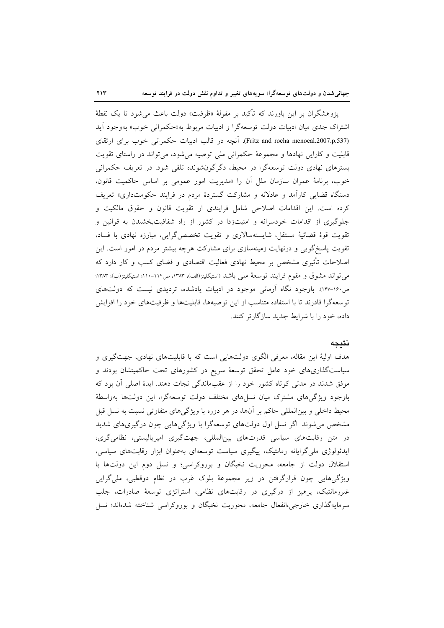$\gamma \gamma$ 

یژوهشگران بر این باورند که تأکید بر مقولهٔ «ظرفیت» دولت باعث می شود تا یک نقطهٔ اشتراک جدی میان ادبیات دولت توسعهگرا و ادبیات مربوط به«حکمرانی خوب» بهوجود آید (Fritz and rocha menocal.2007.p.537). آنچه در قالب ادبیات حکمرانی خوب برای ارتقای قابلیت و کارایی نهادها و مجموعهٔ حکمرانی ملی توصیه میشود، میتواند در راستای تقویت بسترهای نهادی دولت توسعهگرا در محیط، دگرگونشونده تلقی شود. در تعریف حکمرانی خوب، برنامهٔ عمران سازمان ملل آن را «مدیریت امور عمومی بر اساس حاکمیت قانون، دستگاه قضایی کارآمد و عادلانه و مشارکت گستردهٔ مردم در فرایند حکومتداری» تعریف کرده است. این اقدامات اصلاحی شامل فرایندی از تقویت قانون و حقوق مالکیت و جلوگیری از اقدامات خودسرانه و امنیتزدا در کشور از راه شفافیتبخشیدن به قوانین و تقويت قوهٔ قضائيهٔ مستقل، شايستهسالاري و تقويت تخصص گرايي، مبارزه نهادي با فساد، تقویت پاسخگویی و درنهایت زمینهسازی برای مشارکت هرچه بیشتر مردم در امور است. این اصلاحات تأثیری مشخص بر محیط نهادی فعالیت اقتصادی و فضای کسب و کار دارد که می تواند مشوق و مقوم فرایند توسعهٔ ملی باشد (استیگلیتز(الف)، ۱۳۸۳، ص۱۱۴-۱۱۰؛ استیگلیتز(ب)؛ ۱۳۸۳؛ ص۱۶۰-۱۶۷). باوجود نگاه آرمانی موجود در ادبیات یادشده، تردیدی نیست که دولتهای توسعه گرا قادرند تا با استفاده متناسب از این توصیهها، قابلیتها و ظرفیتهای خود را افزایش داده، خود را با شرایط جدید سازگارتر کنند.

### نتيجه

هدف اولیهٔ این مقاله، معرفی الگوی دولتهایی است که با قابلیتهای نهادی، جهتگیری و سیاستگذاریهای خود عامل تحقق توسعهٔ سریع در کشورهای تحت حاکمیتشان بودند و موفق شدند در مدتی کوتاه کشور خود را از عقبماندگی نجات دهند. ایدهٔ اصلی آن بود که باوجود ویژگیهای مشترک میان نسلهای مختلف دولت توسعهگرا، این دولتها بهواسطهٔ محیط داخلی و بینالمللی حاکم بر آنها، در هر دوره با ویژگیهای متفاوتی نسبت به نسل قبل مشخص می شوند. اگر نسل اول دولتهای توسعهگرا با ویژگی هایی چون درگیری های شدید در متن رقابتهای سیاسی قدرتهای بین المللی، جهتگیری امپریالیستی، نظامی گری، ایدئولوژی ملی گرایانه رمانتیک، پیگیری سیاست توسعهای بهعنوان ابزار رقابتهای سیاسی، استقلال دولت از جامعه، محوریت نخبگان و بوروکراسی؛ و نسل دوم این دولتها با ویژگیهایی چون قرارگرفتن در زیر مجموعهٔ بلوک غرب در نظام دوقطبی، ملی گرایی غیررمانتیک، پرهیز از درگیری در رقابتهای نظامی، استراتژی توسعهٔ صادرات، جلب سرمایهگذاری خارجی،انفعال جامعه، محوریت نخبگان و بوروکراسی شناخته شدهاند؛ نسل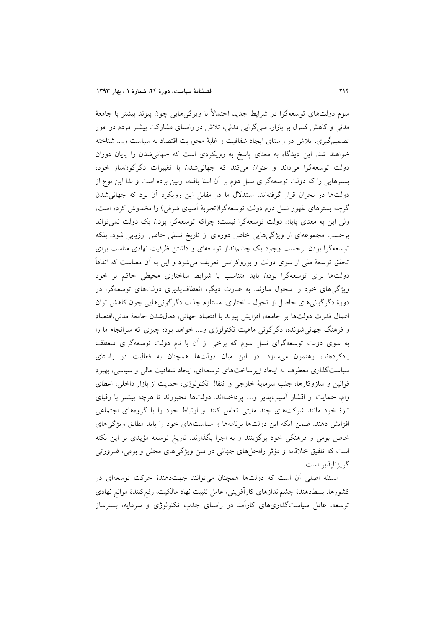سوم دولتهای توسعهگرا در شرایط جدید احتمالاً با ویژگیهایی چون پیوند بیشتر با جامعهٔ مدنی و کاهش کنترل بر بازار، ملی گرایی مدنی، تلاش در راستای مشارکت بیشتر مردم در امور تصمیمگیری، تلاش در راستای ایجاد شفافیت و غلبهٔ محوریت اقتصاد به سیاست و.... شناخته خواهند شد. این دیدگاه به معنای پاسخ به رویکردی است که جهانی شدن را پایان دوران دولت توسعهگرا میداند و عنوان میکند که جهانی شدن با تغییرات دگرگون ساز خود، بسترهایی را که دولت توسعهگرای نسل دوم بر آن ابتنا یافته، ازبین برده است و لذا این نوع از دولتها در بحران قرار گرفتهاند. استدلال ما در مقابل این رویکرد آن بود که جهانی شدن گرچه بسترهای ظهور نسل دوم دولت توسعهگرا(تجربهٔ آسیای شرقی) را مخدوش کرده است، ولی این به معنای پایان دولت توسعهگرا نیست؛ چراکه توسعهگرا بودن یک دولت نمی تواند برحسب مجموعهای از ویژگیهایی خاص دورهای از تاریخ نسلی خاص ارزیابی شود، بلکه توسعهگرا بودن برحسب وجود یک چشمانداز توسعهای و داشتن ظرفیت نهادی مناسب برای تحقق توسعهٔ ملی از سوی دولت و بوروکراسی تعریف میشود و این به اَن معناست که اتفاقاً دولتها برای توسعهگرا بودن باید متناسب با شرایط ساختاری محیطی حاکم بر خود ویژگیهای خود را متحول سازند. به عبارت دیگر، انعطافپذیری دولتهای توسعهگرا در دورهٔ دگرگونیهای حاصل از تحول ساختاری، مستلزم جذب دگرگونیهایی چون کاهش توان اعمال قدرت دولتها بر جامعه، افزايش پيوند با اقتصاد جهاني، فعال شدن جامعهٔ مدنى،اقتصاد و فرهنگ جهانی شونده، دگرگونی ماهیت تکنولوژی و.... خواهد بود؛ چیزی که سرانجام ما را به سوی دولت توسعهگرای نسل سوم که برخی از آن با نام دولت توسعهگرای منعطف یادکردهاند، رهنمون میسازد. در این میان دولتها همچنان به فعالیت در راستای سیاستگذاری معطوف به ایجاد زیرساختهای توسعهای، ایجاد شفافیت مالی و سیاسی، بهبود قوانین و سازوکارها، جلب سرمایهٔ خارجی و انتقال تکنولوژی، حمایت از بازار داخلی، اعطای وام، حمایت از اقشار آسیبپذیر و.... پرداختهاند. دولتها مجبورند تا هرچه بیشتر با رقبای تازهٔ خود مانند شرکتهای چند ملیتی تعامل کنند و ارتباط خود را با گروههای اجتماعی افزایش دهند. ضمن آنکه این دولتها برنامهها و سیاستهای خود را باید مطابق ویژگیهای خاص بومي و فرهنگي خود برگزينند و به اجرا بگذارند. تاريخ توسعه مؤيدي بر اين نكته است که تلفیق خلاقانه و مؤثر راهحلهای جهانی در متن ویژگیهای محلی و بومی، ضرورتی گريزنايذير است.

مسئله اصلی آن است که دولتها همچنان می توانند جهتدهندهٔ حرکت توسعهای در كشورها، بسطدهندهٔ چشم|ندازهای كارآفرینی، عامل تثبیت نهاد مالكیت، رفع كنندهٔ موانع نهادی توسعه، عامل سیاستگذاریهای کارآمد در راستای جذب تکنولوژی و سرمایه، بسترساز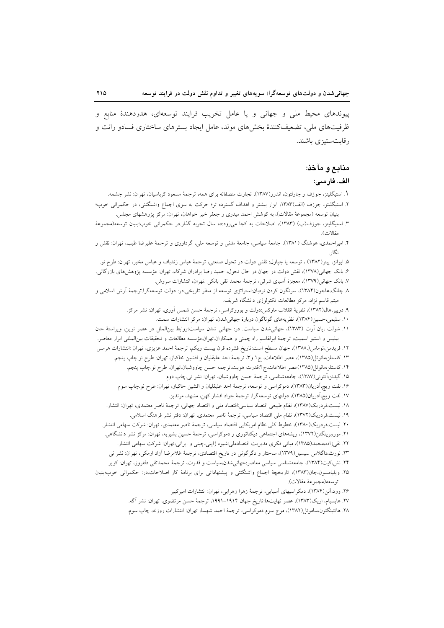پیوندهای محیط ملی و جهانی و یا عامل تخریب فرایند توسعهای، هدردهندهٔ منابع و ظرفیتهای ملی، تضعیفکنندهٔ بخشهای مولد، عامل ایجاد بسترهای ساختاری فسادو رانت و رقابت ستيزي باشند.

### منابع و مآخذ:

#### الف. فارسى:

- ۱. استیگلیتز، جوزف و چارلتون، اندرو(۱۳۸۷)، تجارت منصفانه برای همه، ترجمهٔ مسعود کرباسیان، تهران: نشر چشمه.
- ۲. استیگلیتز، جوزف (الف)۱۳۸۳، ابزار بیشتر و اهداف گسترده تر؛ حرکت به سوی اجماع واشنگتنی، در حکمرانی خوب؛ بنیان توسعه (مجموعهٔ مقالات)، به کوشش احمد میدری و جعفر خیر خواهان، تهران: مرکز پژوهشهای مجلس.
- ۳. استیگلیتز، جوزف(ب) (۱۳۸۳)، اصلاحات به کجا می(ود:ده سال تجربه گذار.در حکمرانی خوب؛بنیان توسعه(مجموعهٔ  $(x \cdot N)$ وة
- ۴. امیراحمدی، هوشنگ (۱۳۸۱)، جامعهٔ سیاسی، جامعهٔ مدنی و توسعه ملی، گرداوری و ترجمهٔ علیرضا طیب، تهران: نقش و : گا، .
- ۵. ایوانز، پیتر(۱۳۸۲) ، توسعه یا چپاول: نقش دولت در تحول صنعتی، ترجمهٔ عباس زندباف و عباس مخبر، تهران: طرح نو.
- ۶. بانک جهانی(۱۳۷۸)، نقش دولت در جهان در حال تحول، حمید رضا برادران شرکاء، تهران: مؤسسه پژوهشهای بازرگانی.
- ٧. بانک جهانی(١٣٧٩)، معجزهٔ اَسیای شرقی، ترجمهٔ محمد تقی بانکی .تهران، انتشارات سروش. ۸ چانگ،هاجون(۱۳۸۴)، سرنگون کردن نردبان:استراتژی توسعه از منظر تاریخی.در: دولت توسعهگرا.ترجمهٔ اَرش اسلامی و
	- میثم قاسم نژاد، مرکز مطالعات تکنولوژی دانشگاه شریف.
	- ۹. دریپر،هال(۱۳۸۲)، نظریهٔ انقلاب مارکس:دولت و بوروکراسی، ترجمهٔ حسن شمس اَوری، تهران: نشر مرکز.
		- ۱۰. سلیمی،حسین(۱۳۸۴)، نظریههای گوناگون دربارهٔ جهانیشدن، تهران: مرکز انتشارات سمت.
- ١١. شولت ،يان آرت (١٣٨٣)، جهاني شدن سياست. در: جهاني شدن سياست؛روابط بين|لملل در عصر نوين، ويراستهٔ جان بيليس و استيو اسميت، ترجمة ابولقاسم راه چمنى و همكاران تهران مؤسسه مطالعات و تحقيقات بين المللي ابرار معاصر. ١٢. فريدمن،توماس(١٣٨٨)، جهان مسطح است:تاريخ فشرده قرن بيست ويكم، ترجمهٔ احمد عزيزي، تهران :انتشارات هرمس ۱۳. کاستلز،مانوئل(۱۳۸۵)، عصر اطلاعات، ج۱ و۳، ترجمهٔ احد علیقلیان و افشین خاکباز، تهران: طرح نو.چاپ پنجم.
	- ۱۴. کاستلز،مانوئل(۱۳۸۵)عصر اطلاعات ج۲:قدرت هويت ترجمه حسن چاووشيان تهران. طرح نو چاپ پنجم.
		- ۱۵. گیدنز،آنتونی(۱۳۸۷)، جامعهشناسی، ترجمهٔ حسن چاووشیان، تهران: نشر نی چاپ دوم
	- ۱۶. لفت ويچ،آدريان(۱۳۸۳)، دموكراسي و توسعه، ترجمهٔ احد عليقليان و افشين خاكباز، تهران: طرح نو.چاپ سوم ١٧. لفت ويچ،آدريان(١٣٨٥)، دولتهاي توسعهگرا، ترجمهٔ جواد افشار كهن، مشهد، مرنديز.
	- ١٨. ليست،فردريك(١٣٨٧)، نظام طبيعي اقتصاد سياسي:اقتصاد ملي و اقتصاد جهاني، ترجمهٔ ناصر معتمدي، تهران: انتشار.
		- ۱۹. لیست،فردریک(۱۳۷۲)، نظام ملی اقتصاد سیاسی، ترجمهٔ ناصر معتمدی، تهران: دفتر نشر فرهنگ اسلامی.
	- ۲۰. لیست،فردریک(۱۳۸۰)، خطوط کلی نظام امریکایی اقتصاد سیاسی، ترجمهٔ ناصر معتمدی، تهران: شرکت سهامی انتشار.
	- ٢١. مور،برینگتن(١٣٧٢)، ریشههای اجتماعی دیکتاتوری و دموکراسی، ترجمهٔ حسین بشیریه، تهران: مرکز نشر دانشگاهی.
		- ۲۲. نقیزاده،محمد(۱۳۸۵)، مبانی فکری مدیریت اقتصادملی:شیوه ژاپنی،چینی و ایرانی،تهران: شرکت سهامی انتشار.
	- ۲۳. نورث،داگلاس سیسیل(۱۳۷۹)، ساختار و دگرگونی در تاریخ اقتصادی، ترجمهٔ غلامرضا آزاد ارمکی، تهران: نشر نی
	- ۲۴. نش،کیت(۱۳۸۴)، جامعهشناسی سیاسی معاصر:جهانیشدن،سیاست و قدرت، ترجمهٔ محمدتقی دلفروز، تهران: کویر
- ۲۵. ویلیامسون،جان(۱۳۸۳)، تاریخچهٔ اجماع واشنگتنی و پیشنهاداتی برای برنامهٔ کار اصلاحات.در: حکمرانی خوب؛بنیان توسعه(مجموعهٔ مقالات).
	- ۲۶. وود،آلن(۱۳۸۴)، دمکراسیهای آسیایی، ترجمهٔ زهرا زهرایی، تهران: انتشارات امیرکبیر
	- ٢٧. هابسبام، اریک(١٣٨٣)، عصر نهایتها:تاریخ جهان ١٩١۴–١٩٩١، ترجمهٔ حسن مرتضوی، تهران: نشر آگه. ۲۸. هانتینگتون،ساموئل(۱۳۸۲)، موج سوم دموکراسی، ترجمهٔ احمد شهسا، تهران: انتشارات روزنه، چاپ سوم.